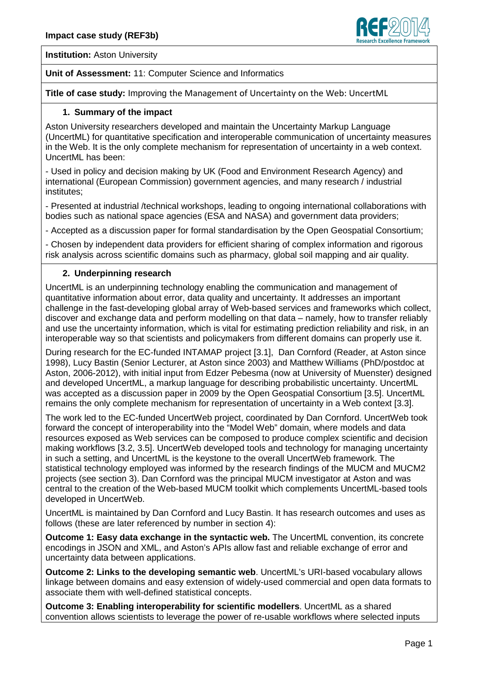

**Institution: Aston University** 

#### **Unit of Assessment:** 11: Computer Science and Informatics

**Title of case study:** Improving the Management of Uncertainty on the Web: UncertML

#### **1. Summary of the impact**

Aston University researchers developed and maintain the Uncertainty Markup Language (UncertML) for quantitative specification and interoperable communication of uncertainty measures in the Web. It is the only complete mechanism for representation of uncertainty in a web context. UncertML has been:

- Used in policy and decision making by UK (Food and Environment Research Agency) and international (European Commission) government agencies, and many research / industrial institutes;

- Presented at industrial /technical workshops, leading to ongoing international collaborations with bodies such as national space agencies (ESA and NASA) and government data providers;

- Accepted as a discussion paper for formal standardisation by the Open Geospatial Consortium;

- Chosen by independent data providers for efficient sharing of complex information and rigorous risk analysis across scientific domains such as pharmacy, global soil mapping and air quality.

#### **2. Underpinning research**

UncertML is an underpinning technology enabling the communication and management of quantitative information about error, data quality and uncertainty. It addresses an important challenge in the fast-developing global array of Web-based services and frameworks which collect, discover and exchange data and perform modelling on that data – namely, how to transfer reliably and use the uncertainty information, which is vital for estimating prediction reliability and risk, in an interoperable way so that scientists and policymakers from different domains can properly use it.

During research for the EC-funded INTAMAP project [3.1], Dan Cornford (Reader, at Aston since 1998), Lucy Bastin (Senior Lecturer, at Aston since 2003) and Matthew Williams (PhD/postdoc at Aston, 2006-2012), with initial input from Edzer Pebesma (now at University of Muenster) designed and developed UncertML, a markup language for describing probabilistic uncertainty. UncertML was accepted as a discussion paper in 2009 by the Open Geospatial Consortium [3.5]. UncertML remains the only complete mechanism for representation of uncertainty in a Web context [3.3].

The work led to the EC-funded UncertWeb project, coordinated by Dan Cornford. UncertWeb took forward the concept of interoperability into the "Model Web" domain, where models and data resources exposed as Web services can be composed to produce complex scientific and decision making workflows [3.2, 3.5]. UncertWeb developed tools and technology for managing uncertainty in such a setting, and UncertML is the keystone to the overall UncertWeb framework. The statistical technology employed was informed by the research findings of the MUCM and MUCM2 projects (see section 3). Dan Cornford was the principal MUCM investigator at Aston and was central to the creation of the Web-based MUCM toolkit which complements UncertML-based tools developed in UncertWeb.

UncertML is maintained by Dan Cornford and Lucy Bastin. It has research outcomes and uses as follows (these are later referenced by number in section 4):

**Outcome 1: Easy data exchange in the syntactic web.** The UncertML convention, its concrete encodings in JSON and XML, and Aston's APIs allow fast and reliable exchange of error and uncertainty data between applications.

**Outcome 2: Links to the developing semantic web**. UncertML's URI-based vocabulary allows linkage between domains and easy extension of widely-used commercial and open data formats to associate them with well-defined statistical concepts.

**Outcome 3: Enabling interoperability for scientific modellers**. UncertML as a shared convention allows scientists to leverage the power of re-usable workflows where selected inputs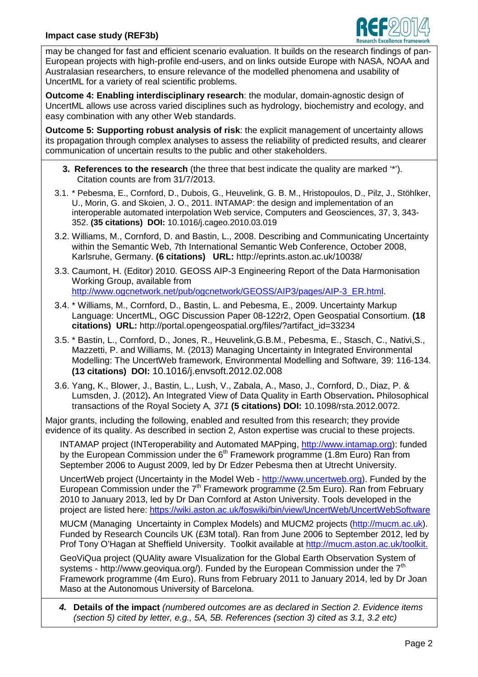

may be changed for fast and efficient scenario evaluation. It builds on the research findings of pan-European projects with high-profile end-users, and on links outside Europe with NASA, NOAA and Australasian researchers, to ensure relevance of the modelled phenomena and usability of UncertML for a variety of real scientific problems.

**Outcome 4: Enabling interdisciplinary research**: the modular, domain-agnostic design of UncertML allows use across varied disciplines such as hydrology, biochemistry and ecology, and easy combination with any other Web standards.

**Outcome 5: Supporting robust analysis of risk**: the explicit management of uncertainty allows its propagation through complex analyses to assess the reliability of predicted results, and clearer communication of uncertain results to the public and other stakeholders.

- **3. References to the research** (the three that best indicate the quality are marked '\*'). Citation counts are from 31/7/2013.
- 3.1. \* Pebesma, E., Cornford, D., Dubois, G., Heuvelink, G. B. M., Hristopoulos, D., Pilz, J., Stöhlker, U., Morin, G. and Skoien, J. O., 2011. INTAMAP: the design and implementation of an interoperable automated interpolation Web service, Computers and Geosciences, 37, 3, 343- 352. **(35 citations) DOI:** 10.1016/j.cageo.2010.03.019
- 3.2. Williams, M., Cornford, D. and Bastin, L., 2008. Describing and Communicating Uncertainty within the Semantic Web, 7th International Semantic Web Conference, October 2008, Karlsruhe, Germany. **(6 citations) URL:** http://eprints.aston.ac.uk/10038/
- 3.3. Caumont, H. (Editor) 2010. GEOSS AIP-3 Engineering Report of the Data Harmonisation Working Group, available from http://www.ogcnetwork.net/pub/ogcnetwork/GEOSS/AIP3/pages/AIP-3\_ER.html.
- 3.4. \* Williams, M., Cornford, D., Bastin, L. and Pebesma, E., 2009. Uncertainty Markup Language: UncertML, OGC Discussion Paper 08-122r2, Open Geospatial Consortium. **(18 citations) URL:** http://portal.opengeospatial.org/files/?artifact\_id=33234
- 3.5. \* Bastin, L., Cornford, D., Jones, R., Heuvelink,G.B.M., Pebesma, E., Stasch, C., Nativi,S., Mazzetti, P. and Williams, M. (2013) Managing Uncertainty in Integrated Environmental Modelling: The UncertWeb framework, Environmental Modelling and Software, 39: 116-134. **(13 citations) DOI:** 10.1016/j.envsoft.2012.02.008
- 3.6. Yang, K., Blower, J., Bastin, L., Lush, V., Zabala, A., Maso, J., Cornford, D., Diaz, P. & Lumsden, J. (2012)**.** An Integrated View of Data Quality in Earth Observation**.** Philosophical transactions of the Royal Society A, 371 **(5 citations) DOI:** 10.1098/rsta.2012.0072.

Major grants, including the following, enabled and resulted from this research; they provide evidence of its quality. As described in section 2, Aston expertise was crucial to these projects.

INTAMAP project (INTeroperability and Automated MAPping, http://www.intamap.org): funded by the European Commission under the  $6<sup>th</sup>$  Framework programme (1.8m Euro) Ran from September 2006 to August 2009, led by Dr Edzer Pebesma then at Utrecht University.

UncertWeb project (Uncertainty in the Model Web - http://www.uncertweb.org). Funded by the European Commission under the  $7<sup>th</sup>$  Framework programme (2.5m Euro). Ran from February 2010 to January 2013, led by Dr Dan Cornford at Aston University. Tools developed in the project are listed here: https://wiki.aston.ac.uk/foswiki/bin/view/UncertWeb/UncertWebSoftware

MUCM (Managing Uncertainty in Complex Models) and MUCM2 projects (http://mucm.ac.uk). Funded by Research Councils UK (£3M total). Ran from June 2006 to September 2012, led by Prof Tony O'Hagan at Sheffield University. Toolkit available at http://mucm.aston.ac.uk/toolkit.

GeoViQua project (QUAlity aware VIsualization for the Global Earth Observation System of systems - http://www.geoviqua.org/). Funded by the European Commission under the 7<sup>th</sup> Framework programme (4m Euro). Runs from February 2011 to January 2014, led by Dr Joan Maso at the Autonomous University of Barcelona.

**4. Details of the impact** (numbered outcomes are as declared in Section 2. Evidence items (section 5) cited by letter, e.g., 5A, 5B. References (section 3) cited as 3.1, 3.2 etc)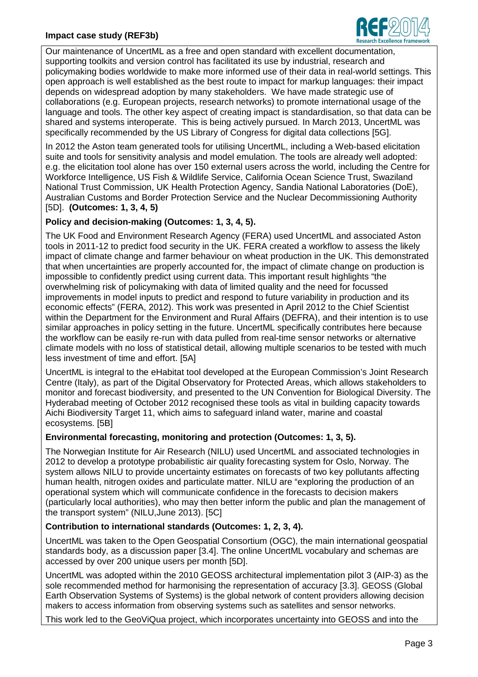

Our maintenance of UncertML as a free and open standard with excellent documentation, supporting toolkits and version control has facilitated its use by industrial, research and policymaking bodies worldwide to make more informed use of their data in real-world settings. This open approach is well established as the best route to impact for markup languages: their impact depends on widespread adoption by many stakeholders. We have made strategic use of collaborations (e.g. European projects, research networks) to promote international usage of the language and tools. The other key aspect of creating impact is standardisation, so that data can be shared and systems interoperate. This is being actively pursued. In March 2013, UncertML was specifically recommended by the US Library of Congress for digital data collections [5G].

In 2012 the Aston team generated tools for utilising UncertML, including a Web-based elicitation suite and tools for sensitivity analysis and model emulation. The tools are already well adopted: e.g. the elicitation tool alone has over 150 external users across the world, including the Centre for Workforce Intelligence, US Fish & Wildlife Service, California Ocean Science Trust, Swaziland National Trust Commission, UK Health Protection Agency, Sandia National Laboratories (DoE), Australian Customs and Border Protection Service and the Nuclear Decommissioning Authority [5D]. **(Outcomes: 1, 3, 4, 5)**

# **Policy and decision-making (Outcomes: 1, 3, 4, 5).**

The UK Food and Environment Research Agency (FERA) used UncertML and associated Aston tools in 2011-12 to predict food security in the UK. FERA created a workflow to assess the likely impact of climate change and farmer behaviour on wheat production in the UK. This demonstrated that when uncertainties are properly accounted for, the impact of climate change on production is impossible to confidently predict using current data. This important result highlights "the overwhelming risk of policymaking with data of limited quality and the need for focussed improvements in model inputs to predict and respond to future variability in production and its economic effects" (FERA, 2012). This work was presented in April 2012 to the Chief Scientist within the Department for the Environment and Rural Affairs (DEFRA), and their intention is to use similar approaches in policy setting in the future. UncertML specifically contributes here because the workflow can be easily re-run with data pulled from real-time sensor networks or alternative climate models with no loss of statistical detail, allowing multiple scenarios to be tested with much less investment of time and effort. [5A]

UncertML is integral to the eHabitat tool developed at the European Commission's Joint Research Centre (Italy), as part of the Digital Observatory for Protected Areas, which allows stakeholders to monitor and forecast biodiversity, and presented to the UN Convention for Biological Diversity. The Hyderabad meeting of October 2012 recognised these tools as vital in building capacity towards Aichi Biodiversity Target 11, which aims to safeguard inland water, marine and coastal ecosystems. [5B]

## **Environmental forecasting, monitoring and protection (Outcomes: 1, 3, 5).**

The Norwegian Institute for Air Research (NILU) used UncertML and associated technologies in 2012 to develop a prototype probabilistic air quality forecasting system for Oslo, Norway. The system allows NILU to provide uncertainty estimates on forecasts of two key pollutants affecting human health, nitrogen oxides and particulate matter. NILU are "exploring the production of an operational system which will communicate confidence in the forecasts to decision makers (particularly local authorities), who may then better inform the public and plan the management of the transport system" (NILU,June 2013). [5C]

# **Contribution to international standards (Outcomes: 1, 2, 3, 4).**

UncertML was taken to the Open Geospatial Consortium (OGC), the main international geospatial standards body, as a discussion paper [3.4]. The online UncertML vocabulary and schemas are accessed by over 200 unique users per month [5D].

UncertML was adopted within the 2010 GEOSS architectural implementation pilot 3 (AIP-3) as the sole recommended method for harmonising the representation of accuracy [3.3]. GEOSS (Global Earth Observation Systems of Systems) is the global network of content providers allowing decision makers to access information from observing systems such as satellites and sensor networks.

This work led to the GeoViQua project, which incorporates uncertainty into GEOSS and into the